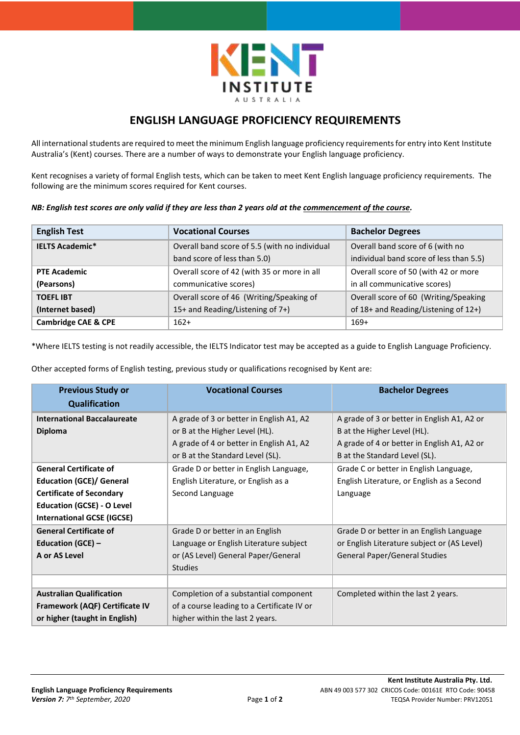

## **ENGLISH LANGUAGE PROFICIENCY REQUIREMENTS**

All international students are required to meet the minimum English language proficiency requirements for entry into Kent Institute Australia's (Kent) courses. There are a number of ways to demonstrate your English language proficiency.

Kent recognises a variety of formal English tests, which can be taken to meet Kent English language proficiency requirements. The following are the minimum scores required for Kent courses.

|  |  |  |  |  |  |  |  |  | NB: English test scores are only valid if they are less than 2 years old at the <u>commencement of the course</u> . |  |
|--|--|--|--|--|--|--|--|--|---------------------------------------------------------------------------------------------------------------------|--|
|--|--|--|--|--|--|--|--|--|---------------------------------------------------------------------------------------------------------------------|--|

| <b>English Test</b>            | <b>Vocational Courses</b>                     | <b>Bachelor Degrees</b>                 |  |
|--------------------------------|-----------------------------------------------|-----------------------------------------|--|
| <b>IELTS Academic*</b>         | Overall band score of 5.5 (with no individual | Overall band score of 6 (with no        |  |
|                                | band score of less than 5.0)                  | individual band score of less than 5.5) |  |
| <b>PTE Academic</b>            | Overall score of 42 (with 35 or more in all   | Overall score of 50 (with 42 or more    |  |
| (Pearsons)                     | communicative scores)                         | in all communicative scores)            |  |
| <b>TOEFLIBT</b>                | Overall score of 46 (Writing/Speaking of      | Overall score of 60 (Writing/Speaking   |  |
| (Internet based)               | 15+ and Reading/Listening of 7+)              | of 18+ and Reading/Listening of 12+)    |  |
| <b>Cambridge CAE &amp; CPE</b> | $162+$                                        | $169+$                                  |  |

\*Where IELTS testing is not readily accessible, the IELTS Indicator test may be accepted as a guide to English Language Proficiency.

Other accepted forms of English testing, previous study or qualifications recognised by Kent are:

| <b>Previous Study or</b><br><b>Qualification</b> | <b>Vocational Courses</b>                  | <b>Bachelor Degrees</b>                     |
|--------------------------------------------------|--------------------------------------------|---------------------------------------------|
| <b>International Baccalaureate</b>               | A grade of 3 or better in English A1, A2   | A grade of 3 or better in English A1, A2 or |
| <b>Diploma</b>                                   | or B at the Higher Level (HL).             | B at the Higher Level (HL).                 |
|                                                  | A grade of 4 or better in English A1, A2   | A grade of 4 or better in English A1, A2 or |
|                                                  | or B at the Standard Level (SL).           | B at the Standard Level (SL).               |
| <b>General Certificate of</b>                    | Grade D or better in English Language,     | Grade C or better in English Language,      |
| <b>Education (GCE)/ General</b>                  | English Literature, or English as a        | English Literature, or English as a Second  |
| <b>Certificate of Secondary</b>                  | Second Language                            | Language                                    |
| <b>Education (GCSE) - O Level</b>                |                                            |                                             |
| <b>International GCSE (IGCSE)</b>                |                                            |                                             |
| <b>General Certificate of</b>                    | Grade D or better in an English            | Grade D or better in an English Language    |
| <b>Education (GCE) -</b>                         | Language or English Literature subject     | or English Literature subject or (AS Level) |
| A or AS Level                                    | or (AS Level) General Paper/General        | <b>General Paper/General Studies</b>        |
|                                                  | <b>Studies</b>                             |                                             |
|                                                  |                                            |                                             |
| <b>Australian Qualification</b>                  | Completion of a substantial component      | Completed within the last 2 years.          |
| Framework (AQF) Certificate IV                   | of a course leading to a Certificate IV or |                                             |
| or higher (taught in English)                    | higher within the last 2 years.            |                                             |